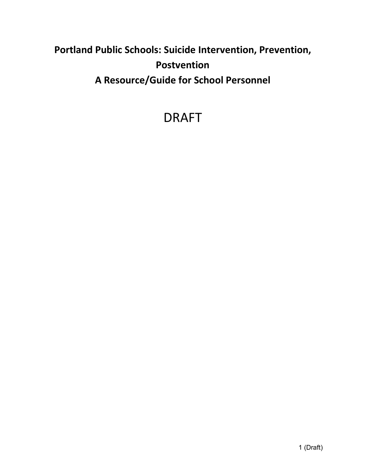# **Portland Public Schools: Suicide Intervention, Prevention, Postvention A Resource/Guide for School Personnel**

# DRAFT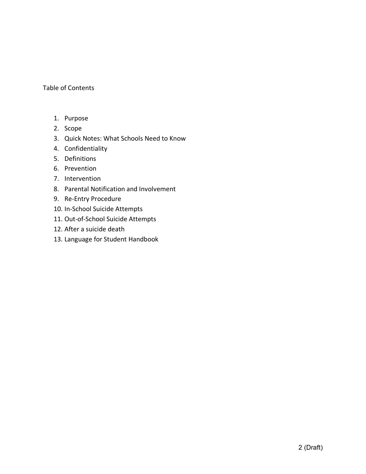## Table of Contents

- 1. Purpose
- 2. Scope
- 3. Quick Notes: What Schools Need to Know
- 4. Confidentiality
- 5. Definitions
- 6. Prevention
- 7. Intervention
- 8. Parental Notification and Involvement
- 9. Re-Entry Procedure
- 10. In-School Suicide Attempts
- 11. Out-of-School Suicide Attempts
- 12. After a suicide death
- 13. Language for Student Handbook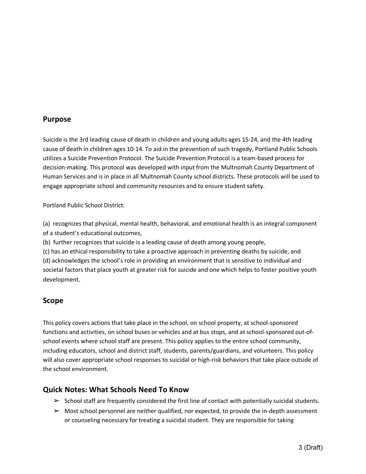## **Purpose**

Suicide is the 3rd leading cause of death in children and young adults ages 15-24, and the 4th leading cause of death in children ages 10-14. To aid in the prevention of such tragedy, Portland Public Schools utilizes a Suicide Prevention Protocol. The Suicide Prevention Protocol is a team-based process for decision-making. This protocol was developed with input from the Multnomah County Department of Human Services and is in place in all Multnomah County school districts. These protocols will be used to engage appropriate school and community resources and to ensure student safety.

Portland Public School District:

(a) recognizes that physical, mental health, behavioral, and emotional health is an integral component of a student's educational outcomes,

(b) further recognizes that suicide is a leading cause of death among young people,

(c) has an ethical responsibility to take a proactive approach in preventing deaths by suicide, and (d) acknowledges the school's role in providing an environment that is sensitive to individual and societal factors that place youth at greater risk for suicide and one which helps to foster positive youth development.

# **Scope**

This policy covers actions that take place in the school, on school property, at school-sponsored functions and activities, on school buses or vehicles and at bus stops, and at school-sponsored out-ofschool events where school staff are present. This policy applies to the entire school community, including educators, school and district staff, students, parents/guardians, and volunteers. This policy will also cover appropriate school responses to suicidal or high-risk behaviors that take place outside of the school environment.

# **Quick Notes: What Schools Need To Know**

- $\triangleright$  School staff are frequently considered the first line of contact with potentially suicidal students.
- $\triangleright$  Most school personnel are neither qualified, nor expected, to provide the in-depth assessment or counseling necessary for treating a suicidal student. They are responsible for taking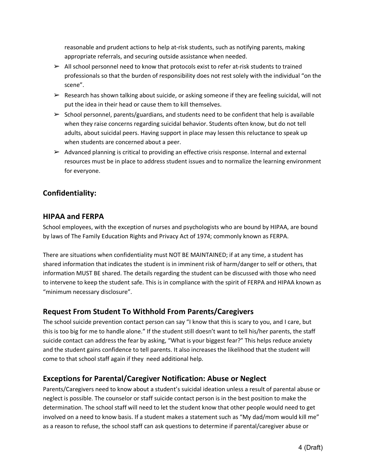reasonable and prudent actions to help at-risk students, such as notifying parents, making appropriate referrals, and securing outside assistance when needed.

- $\triangleright$  All school personnel need to know that protocols exist to refer at-risk students to trained professionals so that the burden of responsibility does not rest solely with the individual "on the scene".
- $\triangleright$  Research has shown talking about suicide, or asking someone if they are feeling suicidal, will not put the idea in their head or cause them to kill themselves.
- $\triangleright$  School personnel, parents/guardians, and students need to be confident that help is available when they raise concerns regarding suicidal behavior. Students often know, but do not tell adults, about suicidal peers. Having support in place may lessen this reluctance to speak up when students are concerned about a peer.
- $\triangleright$  Advanced planning is critical to providing an effective crisis response. Internal and external resources must be in place to address student issues and to normalize the learning environment for everyone.

# **Confidentiality:**

# **HIPAA and FERPA**

School employees, with the exception of nurses and psychologists who are bound by HIPAA, are bound by laws of The Family Education Rights and Privacy Act of 1974; commonly known as FERPA.

There are situations when confidentiality must NOT BE MAINTAINED; if at any time, a student has shared information that indicates the student is in imminent risk of harm/danger to self or others, that information MUST BE shared. The details regarding the student can be discussed with those who need to intervene to keep the student safe. This is in compliance with the spirit of FERPA and HIPAA known as "minimum necessary disclosure".

# **Request From Student To Withhold From Parents/Caregivers**

The school suicide prevention contact person can say "I know that this is scary to you, and I care, but this is too big for me to handle alone." If the student still doesn't want to tell his/her parents, the staff suicide contact can address the fear by asking, "What is your biggest fear?" This helps reduce anxiety and the student gains confidence to tell parents. It also increases the likelihood that the student will come to that school staff again if they need additional help.

# **Exceptions for Parental/Caregiver Notification: Abuse or Neglect**

Parents/Caregivers need to know about a student's suicidal ideation unless a result of parental abuse or neglect is possible. The counselor or staff suicide contact person is in the best position to make the determination. The school staff will need to let the student know that other people would need to get involved on a need to know basis. If a student makes a statement such as "My dad/mom would kill me" as a reason to refuse, the school staff can ask questions to determine if parental/caregiver abuse or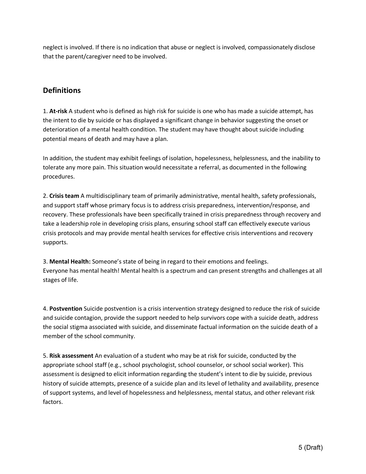neglect is involved. If there is no indication that abuse or neglect is involved, compassionately disclose that the parent/caregiver need to be involved.

# **Definitions**

1. **At-risk** A student who is defined as high risk for suicide is one who has made a suicide attempt, has the intent to die by suicide or has displayed a significant change in behavior suggesting the onset or deterioration of a mental health condition. The student may have thought about suicide including potential means of death and may have a plan.

In addition, the student may exhibit feelings of isolation, hopelessness, helplessness, and the inability to tolerate any more pain. This situation would necessitate a referral, as documented in the following procedures.

2. **Crisis team** A multidisciplinary team of primarily administrative, mental health, safety professionals, and support staff whose primary focus is to address crisis preparedness, intervention/response, and recovery. These professionals have been specifically trained in crisis preparedness through recovery and take a leadership role in developing crisis plans, ensuring school staff can effectively execute various crisis protocols and may provide mental health services for effective crisis interventions and recovery supports.

3. **Mental Health:** Someone's state of being in regard to their emotions and feelings. Everyone has mental health! Mental health is a spectrum and can present strengths and challenges at all stages of life.

4. **Postvention** Suicide postvention is a crisis intervention strategy designed to reduce the risk of suicide and suicide contagion, provide the support needed to help survivors cope with a suicide death, address the social stigma associated with suicide, and disseminate factual information on the suicide death of a member of the school community.

5. **Risk assessment** An evaluation of a student who may be at risk for suicide, conducted by the appropriate school staff (e.g., school psychologist, school counselor, or school social worker). This assessment is designed to elicit information regarding the student's intent to die by suicide, previous history of suicide attempts, presence of a suicide plan and its level of lethality and availability, presence of support systems, and level of hopelessness and helplessness, mental status, and other relevant risk factors.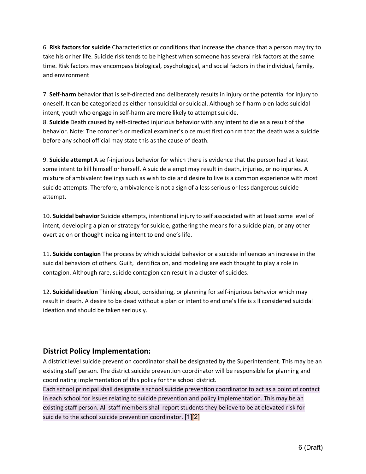6. **Risk factors for suicide** Characteristics or conditions that increase the chance that a person may try to take his or her life. Suicide risk tends to be highest when someone has several risk factors at the same time. Risk factors may encompass biological, psychological, and social factors in the individual, family, and environment

7. **Self-harm** behavior that is self-directed and deliberately results in injury or the potential for injury to oneself. It can be categorized as either nonsuicidal or suicidal. Although self-harm o en lacks suicidal intent, youth who engage in self-harm are more likely to attempt suicide.

8. **Suicide** Death caused by self-directed injurious behavior with any intent to die as a result of the behavior. Note: The coroner's or medical examiner's o ce must first con rm that the death was a suicide before any school official may state this as the cause of death.

9. **Suicide attempt** A self-injurious behavior for which there is evidence that the person had at least some intent to kill himself or herself. A suicide a empt may result in death, injuries, or no injuries. A mixture of ambivalent feelings such as wish to die and desire to live is a common experience with most suicide attempts. Therefore, ambivalence is not a sign of a less serious or less dangerous suicide attempt.

10. **Suicidal behavior** Suicide attempts, intentional injury to self associated with at least some level of intent, developing a plan or strategy for suicide, gathering the means for a suicide plan, or any other overt ac on or thought indica ng intent to end one's life.

11. **Suicide contagion** The process by which suicidal behavior or a suicide influences an increase in the suicidal behaviors of others. Guilt, identifica on, and modeling are each thought to play a role in contagion. Although rare, suicide contagion can result in a cluster of suicides.

12. **Suicidal ideation** Thinking about, considering, or planning for self-injurious behavior which may result in death. A desire to be dead without a plan or intent to end one's life is s ll considered suicidal ideation and should be taken seriously.

# **District Policy Implementation:**

A district level suicide prevention coordinator shall be designated by the Superintendent. This may be an existing staff person. The district suicide prevention coordinator will be responsible for planning and coordinating implementation of this policy for the school district.

Each school principal shall designate a school suicide prevention coordinator to act as a point of contact in each school for issues relating to suicide prevention and policy implementation. This may be an existing staff person. All staff members shall report students they believe to be at elevated risk for suicide to the school suicide prevention coordinator.  $[1][2]$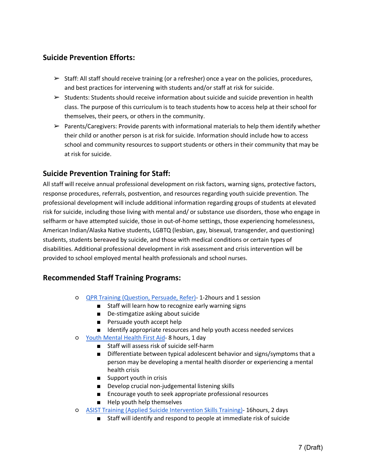# **Suicide Prevention Efforts:**

- $\triangleright$  Staff: All staff should receive training (or a refresher) once a year on the policies, procedures, and best practices for intervening with students and/or staff at risk for suicide.
- $\triangleright$  Students: Students should receive information about suicide and suicide prevention in health class. The purpose of this curriculum is to teach students how to access help at their school for themselves, their peers, or others in the community.
- $\triangleright$  Parents/Caregivers: Provide parents with informational materials to help them identify whether their child or another person is at risk for suicide. Information should include how to access school and community resources to support students or others in their community that may be at risk for suicide.

# **Suicide Prevention Training for Staff:**

All staff will receive annual professional development on risk factors, warning signs, protective factors, response procedures, referrals, postvention, and resources regarding youth suicide prevention. The professional development will include additional information regarding groups of students at elevated risk for suicide, including those living with mental and/ or substance use disorders, those who engage in selfharm or have attempted suicide, those in out-of-home settings, those experiencing homelessness, American Indian/Alaska Native students, LGBTQ (lesbian, gay, bisexual, transgender, and questioning) students, students bereaved by suicide, and those with medical conditions or certain types of disabilities. Additional professional development in risk assessment and crisis intervention will be provided to school employed mental health professionals and school nurses.

# **Recommended Staff Training Programs:**

- QPR Training (Question, Persuade, Refer)- 1-2hours and 1 session
	- Staff will learn how to recognize early warning signs
		- De-stimgatize asking about suicide
		- Persuade youth accept help
		- Identify appropriate resources and help youth access needed services
- Youth Mental Health First Aid- 8 hours, 1 day
	- Staff will assess risk of suicide self-harm
	- Differentiate between typical adolescent behavior and signs/symptoms that a person may be developing a mental health disorder or experiencing a mental health crisis
	- Support youth in crisis
	- Develop crucial non-judgemental listening skills
	- Encourage youth to seek appropriate professional resources
	- Help youth help themselves
- ASIST Training (Applied Suicide Intervention Skills Training)- 16hours, 2 days
	- Staff will identify and respond to people at immediate risk of suicide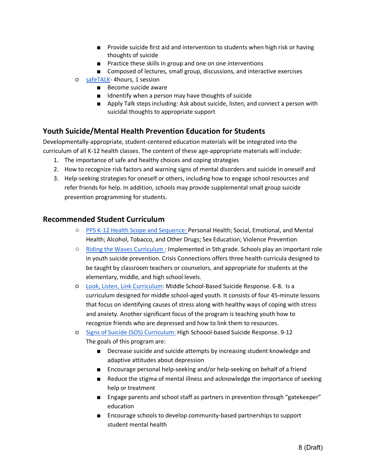- Provide suicide first aid and intervention to students when high risk or having thoughts of suicide
- Practice these skills in group and one on one interventions
- Composed of lectures, small group, discussions, and interactive exercises
- safeTALK- 4hours, 1 session
	- Become suicide aware
	- Idnentify when a person may have thoughts of suicide
	- Apply Talk steps including: Ask about suicide, listen, and connect a person with suicidal thoughts to appropriate support

# **Youth Suicide/Mental Health Prevention Education for Students**

Developmentally-appropriate, student-centered education materials will be integrated into the curriculum of all K-12 health classes. The content of these age-appropriate materials will include:

- 1. The importance of safe and healthy choices and coping strategies
- 2. How to recognize risk factors and warning signs of mental disorders and suicide in oneself and
- 3. Help-seeking strategies for oneself or others, including how to engage school resources and refer friends for help. In addition, schools may provide supplemental small group suicide prevention programming for students.

# **Recommended Student Curriculum**

- PPS K-12 Health Scope and Sequence: Personal Health; Social, Emotional, and Mental Health; Alcohol, Tobacco, and Other Drugs; Sex Education; Violence Prevention
- Riding the Waves Curriculum : Implemented in 5th grade. Schools play an important role in youth suicide prevention. Crisis Connections offers three health curricula designed to be taught by classroom teachers or counselors, and appropriate for students at the elementary, middle, and high school levels.
- Look, Listen, Link Curriculum: Middle School-Based Suicide Response. 6-8. Is a curriculum designed for middle school-aged youth. It consists of four 45-minute lessons that focus on identifying causes of stress along with healthy ways of coping with stress and anxiety. Another significant focus of the program is teaching youth how to recognize friends who are depressed and how to link them to resources.
- Signs of Suicide (SOS) Curriculum: High Schoool-based Suicide Response. 9-12 The goals of this program are:
	- Decrease suicide and suicide attempts by increasing student knowledge and adaptive attitudes about depression
	- Encourage personal help-seeking and/or help-seeking on behalf of a friend
	- Reduce the stigma of mental illness and acknowledge the importance of seeking help or treatment
	- Engage parents and school staff as partners in prevention through "gatekeeper" education
	- Encourage schools to develop community-based partnerships to support student mental health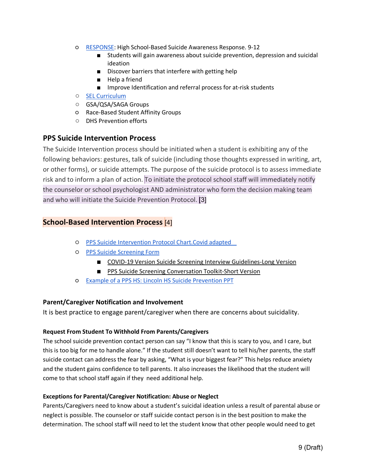- RESPONSE: High School-Based Suicide Awareness Response. 9-12
	- Students will gain awareness about suicide prevention, depression and suicidal ideation
	- Discover barriers that interfere with getting help
	- Help a friend
	- Improve Identification and referral process for at-risk students
- SEL Curriculum
- GSA/QSA/SAGA Groups
- Race-Based Student Affinity Groups
- DHS Prevention efforts

# **PPS Suicide Intervention Process**

The Suicide Intervention process should be initiated when a student is exhibiting any of the following behaviors: gestures, talk of suicide (including those thoughts expressed in writing, art, or other forms), or suicide attempts. The purpose of the suicide protocol is to assess immediate risk and to inform a plan of action. To initiate the protocol school staff will immediately notify the counselor or school psychologist AND administrator who form the decision making team and who will initiate the Suicide Prevention Protocol. [3]

# **School-Based Intervention Process** [4]

- PPS Suicide Intervention Protocol Chart.Covid adapted
- PPS Suicide Screening Form
	- COVID-19 Version Suicide Screening Interview Guidelines-Long Version
	- PPS Suicide Screening Conversation Toolkit-Short Version
- Example of a PPS HS: Lincoln HS Suicide Prevention PPT

## **Parent/Caregiver Notification and Involvement**

It is best practice to engage parent/caregiver when there are concerns about suicidality.

## **Request From Student To Withhold From Parents/Caregivers**

The school suicide prevention contact person can say "I know that this is scary to you, and I care, but this is too big for me to handle alone." If the student still doesn't want to tell his/her parents, the staff suicide contact can address the fear by asking, "What is your biggest fear?" This helps reduce anxiety and the student gains confidence to tell parents. It also increases the likelihood that the student will come to that school staff again if they need additional help.

## **Exceptions for Parental/Caregiver Notification: Abuse or Neglect**

Parents/Caregivers need to know about a student's suicidal ideation unless a result of parental abuse or neglect is possible. The counselor or staff suicide contact person is in the best position to make the determination. The school staff will need to let the student know that other people would need to get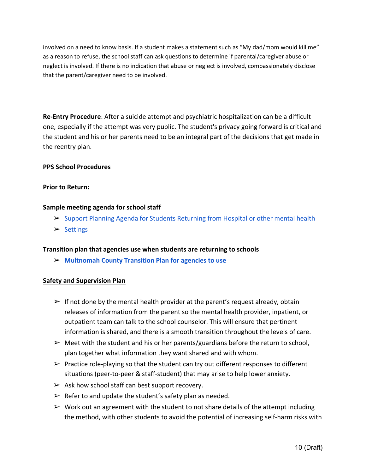involved on a need to know basis. If a student makes a statement such as "My dad/mom would kill me" as a reason to refuse, the school staff can ask questions to determine if parental/caregiver abuse or neglect is involved. If there is no indication that abuse or neglect is involved, compassionately disclose that the parent/caregiver need to be involved.

**Re-Entry Procedure**: After a suicide attempt and psychiatric hospitalization can be a difficult one, especially if the attempt was very public. The student's privacy going forward is critical and the student and his or her parents need to be an integral part of the decisions that get made in the reentry plan.

## **PPS School Procedures**

#### **Prior to Return:**

#### **Sample meeting agenda for school staff**

- ➢ Support Planning Agenda for Students Returning from Hospital or other mental health
- ➢ Settings

#### **Transition plan that agencies use when students are returning to schools**

➢ **Multnomah County Transition Plan for agencies to use**

#### **Safety and Supervision Plan**

- $\triangleright$  If not done by the mental health provider at the parent's request already, obtain releases of information from the parent so the mental health provider, inpatient, or outpatient team can talk to the school counselor. This will ensure that pertinent information is shared, and there is a smooth transition throughout the levels of care.
- $\triangleright$  Meet with the student and his or her parents/guardians before the return to school, plan together what information they want shared and with whom.
- $\triangleright$  Practice role-playing so that the student can try out different responses to different situations (peer-to-peer & staff-student) that may arise to help lower anxiety.
- $\triangleright$  Ask how school staff can best support recovery.
- $\triangleright$  Refer to and update the student's safety plan as needed.
- $\triangleright$  Work out an agreement with the student to not share details of the attempt including the method, with other students to avoid the potential of increasing self-harm risks with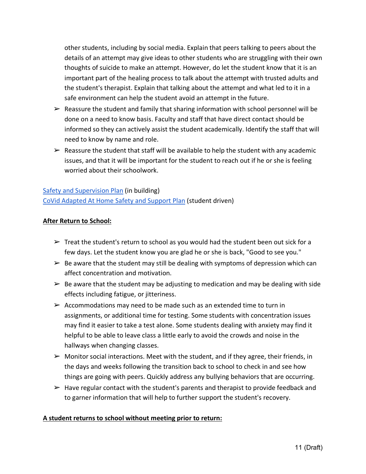other students, including by social media. Explain that peers talking to peers about the details of an attempt may give ideas to other students who are struggling with their own thoughts of suicide to make an attempt. However, do let the student know that it is an important part of the healing process to talk about the attempt with trusted adults and the student's therapist. Explain that talking about the attempt and what led to it in a safe environment can help the student avoid an attempt in the future.

- $\triangleright$  Reassure the student and family that sharing information with school personnel will be done on a need to know basis. Faculty and staff that have direct contact should be informed so they can actively assist the student academically. Identify the staff that will need to know by name and role.
- $\triangleright$  Reassure the student that staff will be available to help the student with any academic issues, and that it will be important for the student to reach out if he or she is feeling worried about their schoolwork.

Safety and Supervision Plan (in building) CoVid Adapted At Home Safety and Support Plan (student driven)

# **After Return to School:**

- $\triangleright$  Treat the student's return to school as you would had the student been out sick for a few days. Let the student know you are glad he or she is back, "Good to see you."
- $\triangleright$  Be aware that the student may still be dealing with symptoms of depression which can affect concentration and motivation.
- $\triangleright$  Be aware that the student may be adjusting to medication and may be dealing with side effects including fatigue, or jitteriness.
- $\triangleright$  Accommodations may need to be made such as an extended time to turn in assignments, or additional time for testing. Some students with concentration issues may find it easier to take a test alone. Some students dealing with anxiety may find it helpful to be able to leave class a little early to avoid the crowds and noise in the hallways when changing classes.
- $\triangleright$  Monitor social interactions. Meet with the student, and if they agree, their friends, in the days and weeks following the transition back to school to check in and see how things are going with peers. Quickly address any bullying behaviors that are occurring.
- $\triangleright$  Have regular contact with the student's parents and therapist to provide feedback and to garner information that will help to further support the student's recovery.

# **A student returns to school without meeting prior to return:**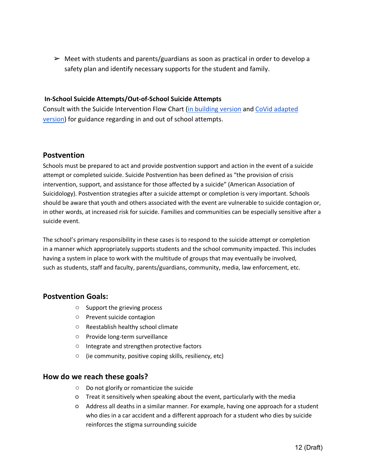$\triangleright$  Meet with students and parents/guardians as soon as practical in order to develop a safety plan and identify necessary supports for the student and family.

#### **In-School Suicide Attempts/Out-of-School Suicide Attempts**

Consult with the Suicide Intervention Flow Chart (in building version and CoVid adapted version) for guidance regarding in and out of school attempts.

# **Postvention**

Schools must be prepared to act and provide postvention support and action in the event of a suicide attempt or completed suicide. Suicide Postvention has been defined as "the provision of crisis intervention, support, and assistance for those affected by a suicide" (American Association of Suicidology). Postvention strategies after a suicide attempt or completion is very important. Schools should be aware that youth and others associated with the event are vulnerable to suicide contagion or, in other words, at increased risk for suicide. Families and communities can be especially sensitive after a suicide event.

The school's primary responsibility in these cases is to respond to the suicide attempt or completion in a manner which appropriately supports students and the school community impacted. This includes having a system in place to work with the multitude of groups that may eventually be involved, such as students, staff and faculty, parents/guardians, community, media, law enforcement, etc.

# **Postvention Goals:**

- Support the grieving process
- Prevent suicide contagion
- Reestablish healthy school climate
- Provide long-term surveillance
- Integrate and strengthen protective factors
- (ie community, positive coping skills, resiliency, etc)

## **How do we reach these goals?**

- Do not glorify or romanticize the suicide
- Treat it sensitively when speaking about the event, particularly with the media
- Address all deaths in a similar manner. For example, having one approach for a student who dies in a car accident and a different approach for a student who dies by suicide reinforces the stigma surrounding suicide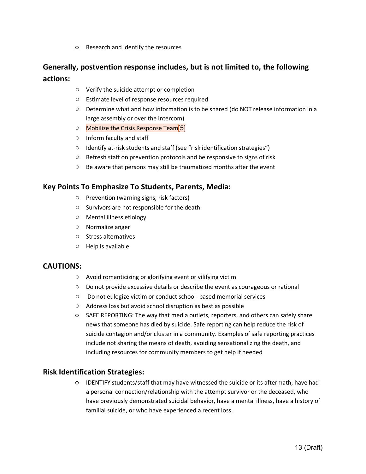○ Research and identify the resources

# **Generally, postvention response includes, but is not limited to, the following actions:**

- Verify the suicide attempt or completion
- Estimate level of response resources required
- Determine what and how information is to be shared (do NOT release information in a large assembly or over the intercom)
- Mobilize the Crisis Response Team<sup>[5]</sup>
- Inform faculty and staff
- Identify at-risk students and staff (see "risk identification strategies")
- Refresh staff on prevention protocols and be responsive to signs of risk
- Be aware that persons may still be traumatized months after the event

## **Key Points To Emphasize To Students, Parents, Media:**

- Prevention (warning signs, risk factors)
- Survivors are not responsible for the death
- Mental illness etiology
- Normalize anger
- Stress alternatives
- Help is available

## **CAUTIONS:**

- Avoid romanticizing or glorifying event or vilifying victim
- $\circ$  Do not provide excessive details or describe the event as courageous or rational
- Do not eulogize victim or conduct school- based memorial services
- Address loss but avoid school disruption as best as possible
- SAFE REPORTING: The way that media outlets, reporters, and others can safely share news that someone has died by suicide. Safe reporting can help reduce the risk of suicide contagion and/or cluster in a community. Examples of safe reporting practices include not sharing the means of death, avoiding sensationalizing the death, and including resources for community members to get help if needed

## **Risk Identification Strategies:**

○ IDENTIFY students/staff that may have witnessed the suicide or its aftermath, have had a personal connection/relationship with the attempt survivor or the deceased, who have previously demonstrated suicidal behavior, have a mental illness, have a history of familial suicide, or who have experienced a recent loss.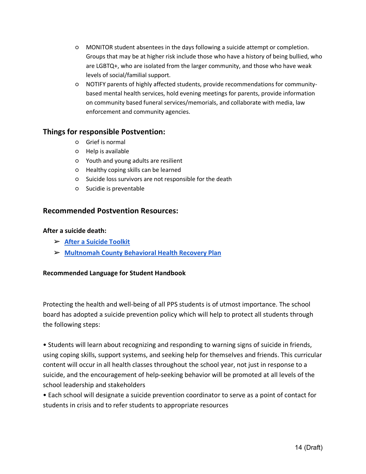- MONITOR student absentees in the days following a suicide attempt or completion. Groups that may be at higher risk include those who have a history of being bullied, who are LGBTQ+, who are isolated from the larger community, and those who have weak levels of social/familial support.
- NOTIFY parents of highly affected students, provide recommendations for communitybased mental health services, hold evening meetings for parents, provide information on community based funeral services/memorials, and collaborate with media, law enforcement and community agencies.

# **Things for responsible Postvention:**

- Grief is normal
- Help is available
- Youth and young adults are resilient
- Healthy coping skills can be learned
- Suicide loss survivors are not responsible for the death
- Sucidie is preventable

# **Recommended Postvention Resources:**

## **After a suicide death:**

- ➢ **After a Suicide Toolkit**
- ➢ **Multnomah County Behavioral Health Recovery Plan**

## **Recommended Language for Student Handbook**

Protecting the health and well-being of all PPS students is of utmost importance. The school board has adopted a suicide prevention policy which will help to protect all students through the following steps:

• Students will learn about recognizing and responding to warning signs of suicide in friends, using coping skills, support systems, and seeking help for themselves and friends. This curricular content will occur in all health classes throughout the school year, not just in response to a suicide, and the encouragement of help-seeking behavior will be promoted at all levels of the school leadership and stakeholders

• Each school will designate a suicide prevention coordinator to serve as a point of contact for students in crisis and to refer students to appropriate resources